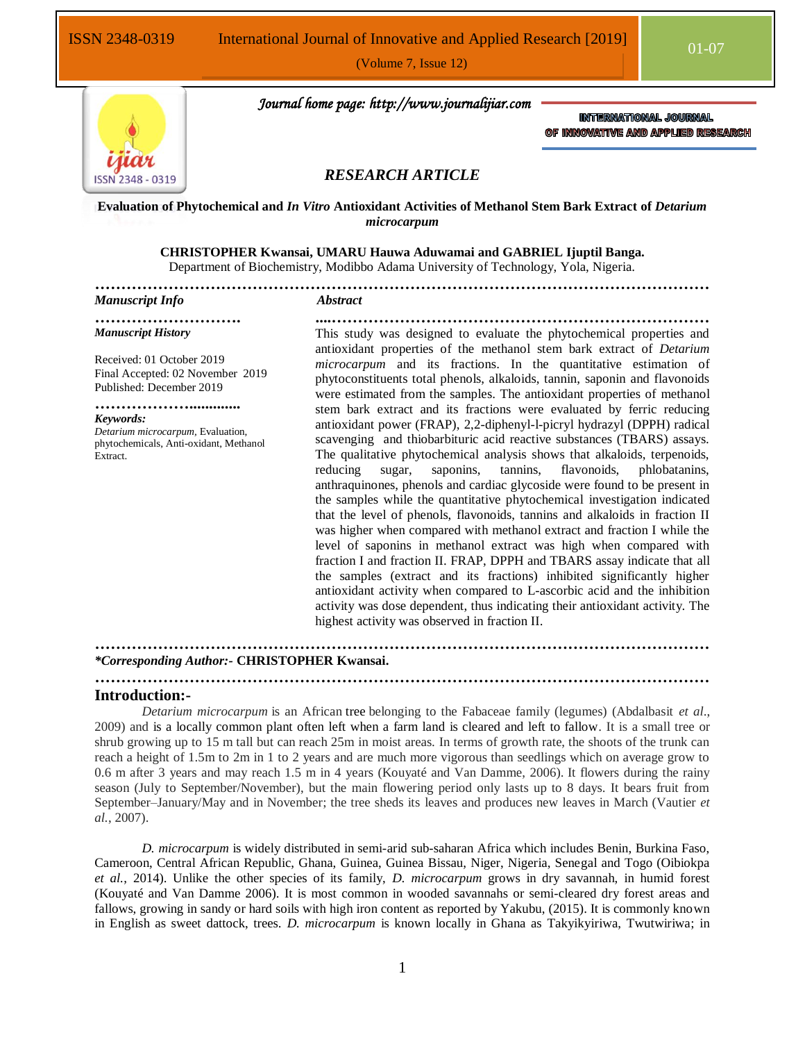

 *Journal home page: http://www.journalijiar.com*

**INTERNATIONAL JOURNAL** OF INNOVATIVE AND APPLIED RESEARCH

# *RESEARCH ARTICLE*

**Evaluation of Phytochemical and** *In Vitro* **Antioxidant Activities of Methanol Stem Bark Extract of** *Detarium microcarpum*

## **CHRISTOPHER Kwansai, UMARU Hauwa Aduwamai and GABRIEL Ijuptil Banga.**

Department of Biochemistry, Modibbo Adama University of Technology, Yola, Nigeria.

**………………………………………………………………………………………………………**

# *Manuscript Info Abstract*

**………………………. ....………………………………………………………………** *Manuscript History*

Received: 01 October 2019 Final Accepted: 02 November 2019 Published: December 2019

# **……………….............** *Keywords:*

*Detarium microcarpum,* Evaluation, phytochemicals, Anti-oxidant, Methanol Extract.

This study was designed to evaluate the phytochemical properties and antioxidant properties of the methanol stem bark extract of *Detarium microcarpum* and its fractions. In the quantitative estimation of phytoconstituents total phenols, alkaloids, tannin, saponin and flavonoids were estimated from the samples. The antioxidant properties of methanol stem bark extract and its fractions were evaluated by ferric reducing antioxidant power (FRAP), 2,2-diphenyl-l-picryl hydrazyl (DPPH) radical scavenging and thiobarbituric acid reactive substances (TBARS) assays. The qualitative phytochemical analysis shows that alkaloids, terpenoids, reducing sugar, saponins, tannins, flavonoids, phlobatanins, anthraquinones, phenols and cardiac glycoside were found to be present in the samples while the quantitative phytochemical investigation indicated that the level of phenols, flavonoids, tannins and alkaloids in fraction II was higher when compared with methanol extract and fraction I while the level of saponins in methanol extract was high when compared with fraction I and fraction II. FRAP, DPPH and TBARS assay indicate that all the samples (extract and its fractions) inhibited significantly higher antioxidant activity when compared to L-ascorbic acid and the inhibition activity was dose dependent, thus indicating their antioxidant activity. The highest activity was observed in fraction II.

**………………………………………………………………………………………………………**

**………………………………………………………………………………………………………**

# *\*Corresponding Author:-* **CHRISTOPHER Kwansai.**

#### **Introduction:-**

*Detarium microcarpum* is an African [tree](https://en.wikipedia.org/wiki/Tree) belonging to the Fabaceae family (legumes) (Abdalbasit *et al*., 2009) and is a locally common plant often left when a farm land is cleared and left to fallow. It is a small tree or shrub growing up to 15 m tall but can reach 25m in moist areas. In terms of growth rate, the shoots of the trunk can reach a height of 1.5m to 2m in 1 to 2 years and are much more vigorous than seedlings which on average grow to 0.6 m after 3 years and may reach 1.5 m in 4 years (Kouyaté and Van Damme, 2006). It flowers during the rainy season (July to September/November), but the main flowering period only lasts up to 8 days. It bears fruit from September–January/May and in November; the tree sheds its leaves and produces new leaves in March (Vautier *et al.*, 2007).

*D. microcarpum* is widely distributed in semi-arid sub-saharan Africa which includes Benin, Burkina Faso, Cameroon, Central African Republic, Ghana, Guinea, Guinea Bissau, Niger, Nigeria, Senegal and Togo (Oibiokpa *et al.*, 2014). Unlike the other species of its family, *D. microcarpum* grows in dry savannah, in humid forest (Kouyaté and Van Damme 2006). It is most common in wooded savannahs or semi-cleared dry forest areas and fallows, growing in sandy or hard soils with high iron content as reported by Yakubu, (2015). It is commonly known in English as sweet dattock, trees. *D. microcarpum* is known locally in Ghana as Takyikyiriwa, Twutwiriwa; in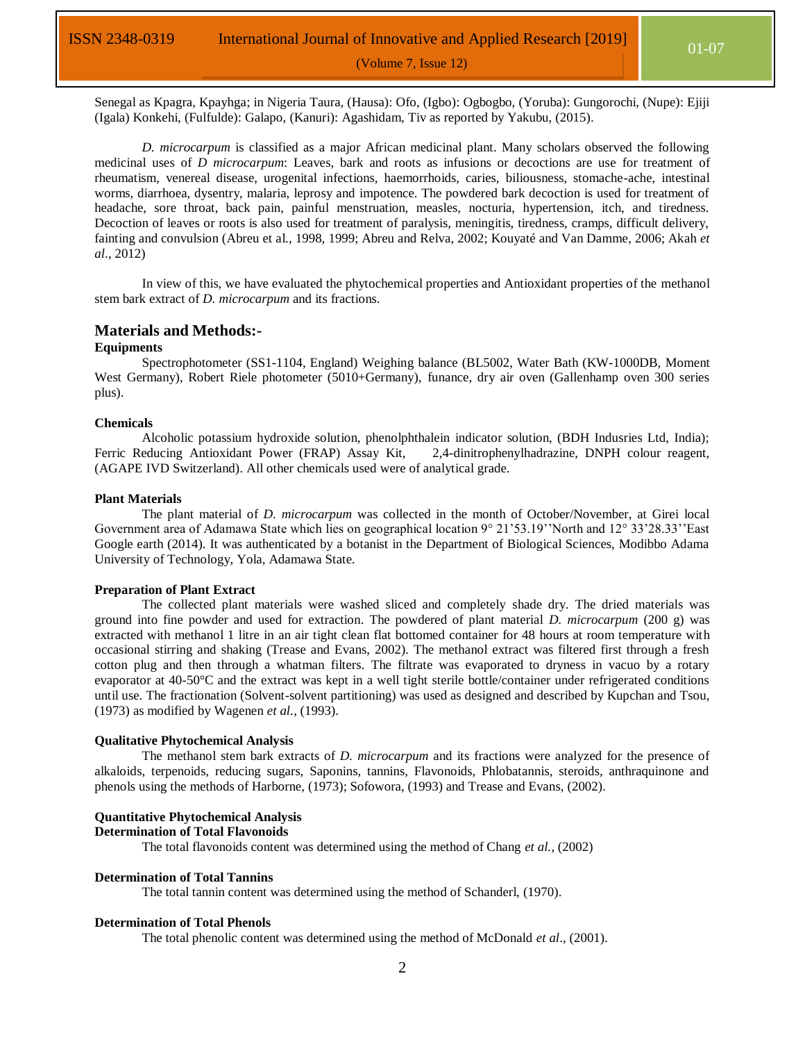Senegal as Kpagra, Kpayhga; in Nigeria Taura, (Hausa): Ofo, (Igbo): Ogbogbo, (Yoruba): Gungorochi, (Nupe): Ejiji (Igala) Konkehi, (Fulfulde): Galapo, (Kanuri): Agashidam, Tiv as reported by Yakubu, (2015).

*D. microcarpum* is classified as a major African medicinal plant. Many scholars observed the following medicinal uses of *D microcarpum*: Leaves, bark and roots as infusions or decoctions are use for treatment of rheumatism, venereal disease, urogenital infections, haemorrhoids, caries, biliousness, stomache-ache, intestinal worms, diarrhoea, dysentry, malaria, leprosy and impotence. The powdered bark decoction is used for treatment of headache, sore throat, back pain, painful menstruation, measles, nocturia, hypertension, itch, and tiredness. Decoction of leaves or roots is also used for treatment of paralysis, meningitis, tiredness, cramps, difficult delivery, fainting and convulsion (Abreu et al., 1998, 1999; Abreu and Relva, 2002; Kouyaté and Van Damme, 2006; Akah *et al*., 2012)

In view of this, we have evaluated the phytochemical properties and Antioxidant properties of the methanol stem bark extract of *D. microcarpum* and its fractions.

### **Materials and Methods:-**

#### **Equipments**

Spectrophotometer (SS1-1104, England) Weighing balance (BL5002, Water Bath (KW-1000DB, Moment West Germany), Robert Riele photometer (5010+Germany), funance, dry air oven (Gallenhamp oven 300 series plus).

#### **Chemicals**

Alcoholic potassium hydroxide solution, phenolphthalein indicator solution, (BDH Indusries Ltd, India); Ferric Reducing Antioxidant Power (FRAP) Assay Kit, 2,4-dinitrophenylhadrazine, DNPH colour reagent, (AGAPE IVD Switzerland). All other chemicals used were of analytical grade.

#### **Plant Materials**

The plant material of *D. microcarpum* was collected in the month of October/November, at Girei local Government area of Adamawa State which lies on geographical location 9° 21'53.19''North and 12° 33'28.33''East Google earth (2014). It was authenticated by a botanist in the Department of Biological Sciences, Modibbo Adama University of Technology, Yola, Adamawa State.

#### **Preparation of Plant Extract**

The collected plant materials were washed sliced and completely shade dry. The dried materials was ground into fine powder and used for extraction. The powdered of plant material *D. microcarpum* (200 g) was extracted with methanol 1 litre in an air tight clean flat bottomed container for 48 hours at room temperature with occasional stirring and shaking (Trease and Evans, 2002). The methanol extract was filtered first through a fresh cotton plug and then through a whatman filters. The filtrate was evaporated to dryness in vacuo by a rotary evaporator at 40-50°C and the extract was kept in a well tight sterile bottle/container under refrigerated conditions until use. The fractionation (Solvent-solvent partitioning) was used as designed and described by Kupchan and Tsou, (1973) as modified by Wagenen *et al.*, (1993).

#### **Qualitative Phytochemical Analysis**

The methanol stem bark extracts of *D. microcarpum* and its fractions were analyzed for the presence of alkaloids, terpenoids, reducing sugars, Saponins, tannins, Flavonoids, Phlobatannis, steroids, anthraquinone and phenols using the methods of Harborne, (1973); Sofowora, (1993) and Trease and Evans, (2002).

#### **Quantitative Phytochemical Analysis Determination of Total Flavonoids**

The total flavonoids content was determined using the method of Chang *et al.*, (2002)

#### **Determination of Total Tannins**

The total tannin content was determined using the method of Schanderl, (1970).

#### **Determination of Total Phenols**

The total phenolic content was determined using the method of McDonald *et al*., (2001).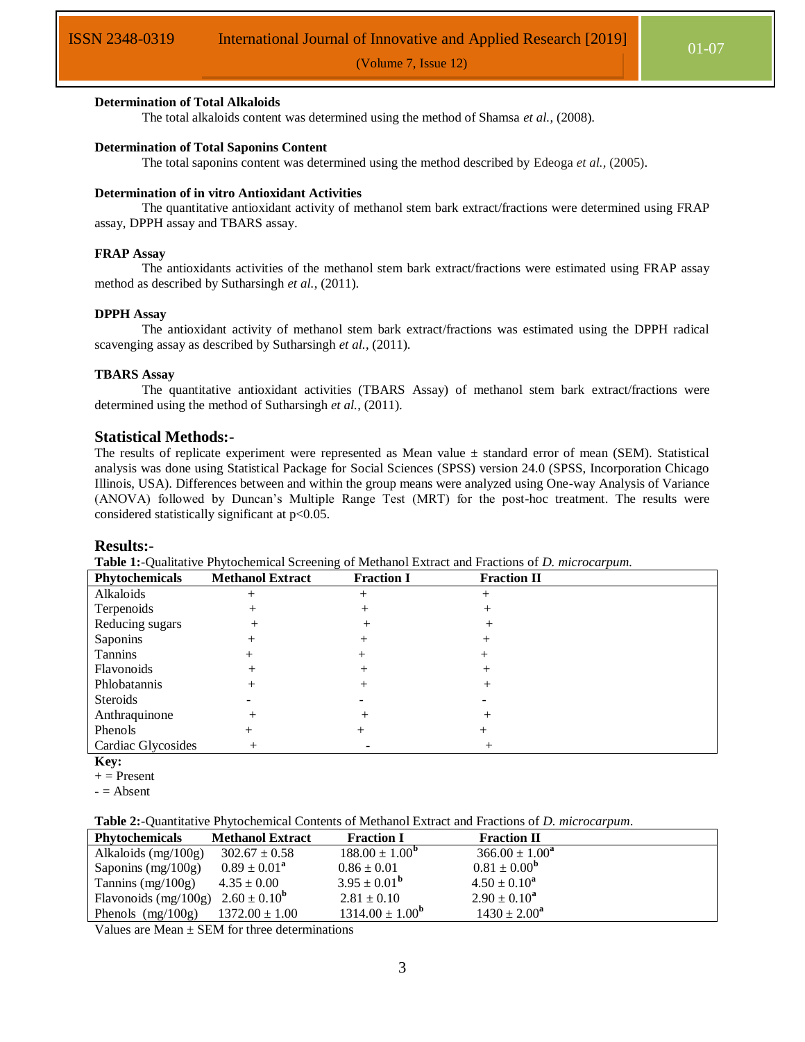### **Determination of Total Alkaloids**

The total alkaloids content was determined using the method of Shamsa *et al.*, (2008).

#### **Determination of Total Saponins Content**

The total saponins content was determined using the method described by Edeoga *et al.,* (2005).

#### **Determination of in vitro Antioxidant Activities**

The quantitative antioxidant activity of methanol stem bark extract/fractions were determined using FRAP assay, DPPH assay and TBARS assay.

#### **FRAP Assay**

The antioxidants activities of the methanol stem bark extract/fractions were estimated using FRAP assay method as described by Sutharsingh *et al.*, (2011).

#### **DPPH Assay**

The antioxidant activity of methanol stem bark extract/fractions was estimated using the DPPH radical scavenging assay as described by Sutharsingh *et al.*, (2011).

#### **TBARS Assay**

The quantitative antioxidant activities (TBARS Assay) of methanol stem bark extract/fractions were determined using the method of Sutharsingh *et al.*, (2011).

#### **Statistical Methods:-**

The results of replicate experiment were represented as Mean value ± standard error of mean (SEM). Statistical analysis was done using Statistical Package for Social Sciences (SPSS) version 24.0 (SPSS, Incorporation Chicago Illinois, USA). Differences between and within the group means were analyzed using One-way Analysis of Variance (ANOVA) followed by Duncan's Multiple Range Test (MRT) for the post-hoc treatment. The results were considered statistically significant at  $p<0.05$ .

#### **Results:-**

**Table 1:**-Qualitative Phytochemical Screening of Methanol Extract and Fractions of *D. microcarpum.*

| Phytochemicals     | <b>Methanol Extract</b> | <b>Fraction I</b> | <b>Fraction II</b> |  |
|--------------------|-------------------------|-------------------|--------------------|--|
| Alkaloids          |                         | $^+$              | ┿                  |  |
| Terpenoids         |                         |                   |                    |  |
| Reducing sugars    |                         |                   |                    |  |
| Saponins           |                         |                   |                    |  |
| Tannins            |                         |                   |                    |  |
| Flavonoids         |                         |                   |                    |  |
| Phlobatannis       |                         |                   |                    |  |
| Steroids           |                         |                   |                    |  |
| Anthraquinone      |                         |                   |                    |  |
| Phenols            |                         |                   |                    |  |
| Cardiac Glycosides |                         |                   |                    |  |

**Key:** 

**Table 2:**-Quantitative Phytochemical Contents of Methanol Extract and Fractions of *D. microcarpum*.

| <b>Phytochemicals</b>                    | <b>Methanol Extract</b> | <b>Fraction I</b>          | <b>Fraction II</b>      |  |
|------------------------------------------|-------------------------|----------------------------|-------------------------|--|
| Alkaloids $(mg/100g)$                    | $302.67 \pm 0.58$       | $188.00 \pm 1.00^{\rm b}$  | $366.00 \pm 1.00^a$     |  |
| Saponins $(mg/100g)$                     | $0.89 \pm 0.01^a$       | $0.86 \pm 0.01$            | $0.81 \pm 0.00^{\rm b}$ |  |
| Tannins $(mg/100g)$                      | $4.35 \pm 0.00$         | $3.95 \pm 0.01^{\rm b}$    | $4.50 \pm 0.10^a$       |  |
| Flavonoids (mg/100g) $2.60 \pm 0.10^{6}$ |                         | $2.81 \pm 0.10$            | $2.90 \pm 0.10^a$       |  |
| Phenols $(mg/100g)$                      | $1372.00 \pm 1.00$      | $1314.00 \pm 1.00^{\rm b}$ | $1430 \pm 2.00^a$       |  |

Values are Mean  $\pm$  SEM for three determinations

 $+$  = Present

 $-$  = Absent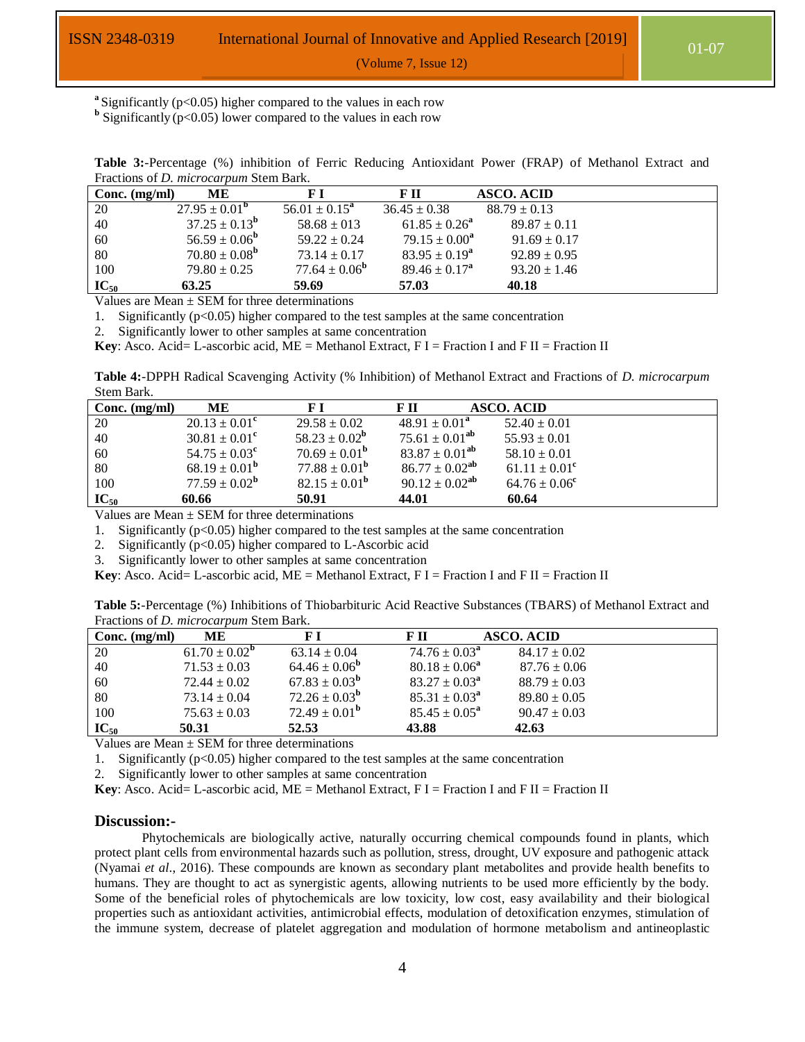**<sup>a</sup>**Significantly (p<0.05) higher compared to the values in each row

<sup>b</sup> Significantly ( $p$ <0.05) lower compared to the values in each row

| Tractions of <i>D. microcarpum</i> Stein Bark. |                          |                          |                          |                   |  |
|------------------------------------------------|--------------------------|--------------------------|--------------------------|-------------------|--|
| Conc. $(mg/ml)$                                | ME.                      | FІ                       | F II                     | <b>ASCO. ACID</b> |  |
| 20                                             | $27.95 \pm 0.01^{\rm b}$ | $56.01 \pm 0.15^a$       | $36.45 \pm 0.38$         | $88.79 \pm 0.13$  |  |
| 40                                             | $37.25 \pm 0.13^{\rm b}$ | $58.68 \pm 013$          | $61.85 \pm 0.26^{\circ}$ | $89.87 \pm 0.11$  |  |
| 60                                             | $56.59 \pm 0.06^{\rm b}$ | $59.22 \pm 0.24$         | $79.15 \pm 0.00^a$       | $91.69 \pm 0.17$  |  |
| 80                                             | $70.80 \pm 0.08^{\rm b}$ | $73.14 \pm 0.17$         | $83.95 \pm 0.19^a$       | $92.89 \pm 0.95$  |  |
| 100                                            | $79.80 \pm 0.25$         | $77.64 \pm 0.06^{\rm b}$ | $89.46 \pm 0.17^a$       | $93.20 \pm 1.46$  |  |
| $IC_{50}$                                      | 63.25                    | 59.69                    | 57.03                    | 40.18             |  |

**Table 3:**-Percentage (%) inhibition of Ferric Reducing Antioxidant Power (FRAP) of Methanol Extract and Fractions of *D. microcarpum* Stem Bark.

Values are Mean  $\pm$  SEM for three determinations

1. Significantly  $(p<0.05)$  higher compared to the test samples at the same concentration

2. Significantly lower to other samples at same concentration

**Key**: Asco. Acid= L-ascorbic acid, ME = Methanol Extract, F I = Fraction I and F II = Fraction II

**Table 4:**-DPPH Radical Scavenging Activity (% Inhibition) of Methanol Extract and Fractions of *D. microcarpum* Stem Bark.

| Conc. $(mg/ml)$ | MЕ                       |                          | F II                  | <b>ASCO. ACID</b>  |
|-----------------|--------------------------|--------------------------|-----------------------|--------------------|
| 20              | $20.13 \pm 0.01^{\circ}$ | $29.58 \pm 0.02$         | $48.91 \pm 0.01^a$    | $52.40 \pm 0.01$   |
| 40              | $30.81 \pm 0.01^{\circ}$ | $58.23 \pm 0.02^{\rm b}$ | $75.61 \pm 0.01^{ab}$ | $55.93 \pm 0.01$   |
| 60              | $54.75 \pm 0.03^{\circ}$ | $70.69 \pm 0.01^{\rm b}$ | $83.87 \pm 0.01^{ab}$ | $58.10 \pm 0.01$   |
| 80              | $68.19 \pm 0.01^{\rm b}$ | $77.88 \pm 0.01^{\rm b}$ | $86.77 \pm 0.02^{ab}$ | $61.11 \pm 0.01^c$ |
| 100             | $77.59 \pm 0.02^{\rm b}$ | $82.15 \pm 0.01^{\rm b}$ | $90.12 \pm 0.02^{ab}$ | $64.76 \pm 0.06^c$ |
| $IC_{50}$       | 60.66                    | 50.91                    | 44.01                 | 60.64              |

Values are Mean  $\pm$  SEM for three determinations

1. Significantly  $(p<0.05)$  higher compared to the test samples at the same concentration

2. Significantly ( $p<0.05$ ) higher compared to L-Ascorbic acid

3. Significantly lower to other samples at same concentration

**Key**: Asco. Acid= L-ascorbic acid, ME = Methanol Extract, F I = Fraction I and F II = Fraction II

| Table 5:-Percentage (%) Inhibitions of Thiobarbituric Acid Reactive Substances (TBARS) of Methanol Extract and |
|----------------------------------------------------------------------------------------------------------------|
| Fractions of <i>D. microcarpum</i> Stem Bark.                                                                  |

| Conc. $(mg/ml)$ | ME                       | F I                      | F II                     | ASCO. ACID       |
|-----------------|--------------------------|--------------------------|--------------------------|------------------|
| 20              | $61.70 \pm 0.02^{\rm b}$ | $63.14 \pm 0.04$         | $74.76 \pm 0.03^{\rm a}$ | $84.17 \pm 0.02$ |
| 40              | $71.53 \pm 0.03$         | $64.46 \pm 0.06^{\rm b}$ | $80.18 \pm 0.06^{\circ}$ | $87.76 \pm 0.06$ |
| 60              | $72.44 \pm 0.02$         | $67.83 \pm 0.03^{\rm b}$ | $83.27 \pm 0.03^{\circ}$ | $88.79 \pm 0.03$ |
| 80              | $73.14 \pm 0.04$         | $72.26 \pm 0.03^{\rm b}$ | $85.31 \pm 0.03^{\circ}$ | $89.80 \pm 0.05$ |
| 100             | $75.63 \pm 0.03$         | $72.49 \pm 0.01^{\rm b}$ | $85.45 \pm 0.05^{\circ}$ | $90.47 \pm 0.03$ |
| $IC_{50}$       | 50.31                    | 52.53                    | 43.88                    | 42.63            |

Values are Mean  $\pm$  SEM for three determinations

1. Significantly  $(p<0.05)$  higher compared to the test samples at the same concentration

Significantly lower to other samples at same concentration

**Key**: Asco. Acid= L-ascorbic acid, ME = Methanol Extract, F I = Fraction I and F II = Fraction II

#### **Discussion:-**

Phytochemicals are biologically active, naturally occurring chemical compounds found in plants, which protect plant cells from environmental hazards such as pollution, stress, drought, UV exposure and pathogenic attack (Nyamai *et al*., 2016). These compounds are known as secondary plant metabolites and provide health benefits to humans. They are thought to act as synergistic agents, allowing nutrients to be used more efficiently by the body. Some of the beneficial roles of phytochemicals are low toxicity, low cost, easy availability and their biological properties such as antioxidant activities, antimicrobial effects, modulation of detoxification enzymes, stimulation of the immune system, decrease of platelet aggregation and modulation of hormone metabolism and antineoplastic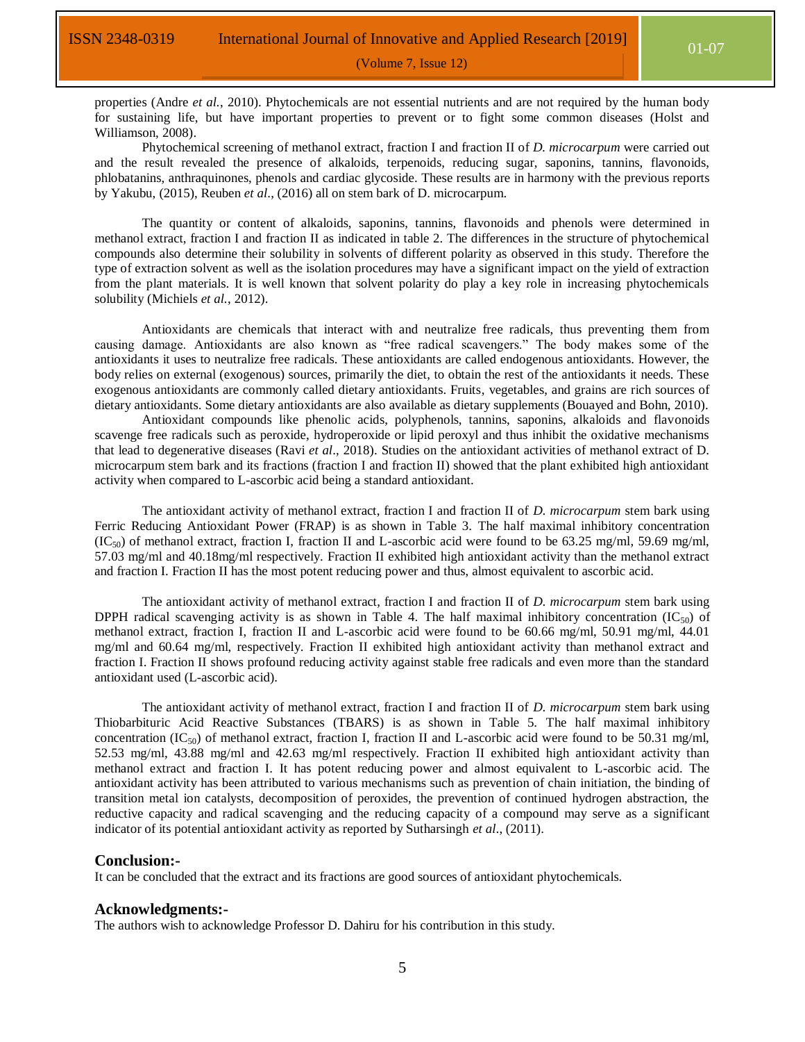properties (Andre *et al.*, 2010). Phytochemicals are not essential nutrients and are not required by the human body for sustaining life, but have important properties to prevent or to fight some common diseases (Holst and Williamson, 2008).

Phytochemical screening of methanol extract, fraction I and fraction II of *D. microcarpum* were carried out and the result revealed the presence of alkaloids, terpenoids, reducing sugar, saponins, tannins, flavonoids, phlobatanins, anthraquinones, phenols and cardiac glycoside. These results are in harmony with the previous reports by Yakubu, (2015), Reuben *et al*., (2016) all on stem bark of D. microcarpum.

The quantity or content of alkaloids, saponins, tannins, flavonoids and phenols were determined in methanol extract, fraction I and fraction II as indicated in table 2. The differences in the structure of phytochemical compounds also determine their solubility in solvents of different polarity as observed in this study. Therefore the type of extraction solvent as well as the isolation procedures may have a significant impact on the yield of extraction from the plant materials. It is well known that solvent polarity do play a key role in increasing phytochemicals solubility (Michiels *et al.*, 2012).

Antioxidants are chemicals that interact with and neutralize free radicals, thus preventing them from causing damage. Antioxidants are also known as "free radical scavengers." The body makes some of the antioxidants it uses to neutralize free radicals. These antioxidants are called endogenous antioxidants. However, the body relies on external (exogenous) sources, primarily the diet, to obtain the rest of the antioxidants it needs. These exogenous antioxidants are commonly called dietary antioxidants. Fruits, vegetables, and grains are rich sources of dietary antioxidants. Some dietary antioxidants are also available as dietary supplements (Bouayed and Bohn, 2010).

Antioxidant compounds like phenolic acids, polyphenols, tannins, saponins, alkaloids and flavonoids scavenge free radicals such as peroxide, hydroperoxide or lipid peroxyl and thus inhibit the oxidative mechanisms that lead to degenerative diseases (Ravi *et al*., 2018). Studies on the antioxidant activities of methanol extract of D. microcarpum stem bark and its fractions (fraction I and fraction II) showed that the plant exhibited high antioxidant activity when compared to L-ascorbic acid being a standard antioxidant.

The antioxidant activity of methanol extract, fraction I and fraction II of *D. microcarpum* stem bark using Ferric Reducing Antioxidant Power (FRAP) is as shown in Table 3. The half maximal inhibitory concentration  $(IC_{50})$  of methanol extract, fraction I, fraction II and L-ascorbic acid were found to be 63.25 mg/ml, 59.69 mg/ml, 57.03 mg/ml and 40.18mg/ml respectively. Fraction II exhibited high antioxidant activity than the methanol extract and fraction I. Fraction II has the most potent reducing power and thus, almost equivalent to ascorbic acid.

The antioxidant activity of methanol extract, fraction I and fraction II of *D. microcarpum* stem bark using DPPH radical scavenging activity is as shown in Table 4. The half maximal inhibitory concentration (IC<sub>50</sub>) of methanol extract, fraction I, fraction II and L-ascorbic acid were found to be 60.66 mg/ml, 50.91 mg/ml, 44.01 mg/ml and 60.64 mg/ml, respectively. Fraction II exhibited high antioxidant activity than methanol extract and fraction I. Fraction II shows profound reducing activity against stable free radicals and even more than the standard antioxidant used (L-ascorbic acid).

The antioxidant activity of methanol extract, fraction I and fraction II of *D. microcarpum* stem bark using Thiobarbituric Acid Reactive Substances (TBARS) is as shown in Table 5. The half maximal inhibitory concentration (IC<sub>50</sub>) of methanol extract, fraction I, fraction II and L-ascorbic acid were found to be 50.31 mg/ml, 52.53 mg/ml, 43.88 mg/ml and 42.63 mg/ml respectively. Fraction II exhibited high antioxidant activity than methanol extract and fraction I. It has potent reducing power and almost equivalent to L-ascorbic acid. The antioxidant activity has been attributed to various mechanisms such as prevention of chain initiation, the binding of transition metal ion catalysts, decomposition of peroxides, the prevention of continued hydrogen abstraction, the reductive capacity and radical scavenging and the reducing capacity of a compound may serve as a significant indicator of its potential antioxidant activity as reported by Sutharsingh *et al*., (2011).

#### **Conclusion:-**

It can be concluded that the extract and its fractions are good sources of antioxidant phytochemicals.

### **Acknowledgments:-**

The authors wish to acknowledge Professor D. Dahiru for his contribution in this study.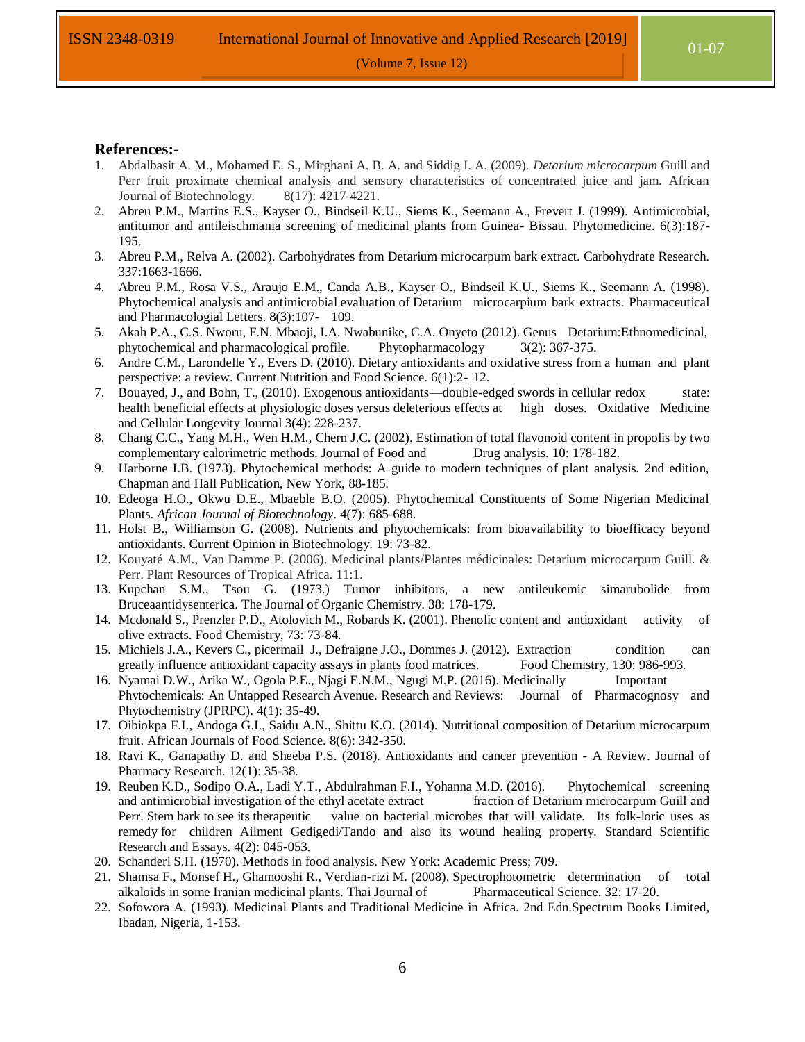#### **References:-**

- 1. Abdalbasit A. M., Mohamed E. S., Mirghani A. B. A. and Siddig I. A. (2009). *Detarium microcarpum* Guill and Perr fruit proximate chemical analysis and sensory characteristics of concentrated juice and jam. African Journal of Biotechnology. 8(17): 4217-4221.
- 2. Abreu P.M., Martins E.S., Kayser O., Bindseil K.U., Siems K., Seemann A., Frevert J. (1999). Antimicrobial, antitumor and antileischmania screening of medicinal plants from Guinea- Bissau. Phytomedicine. 6(3):187- 195.
- 3. Abreu P.M., Relva A. (2002). Carbohydrates from Detarium microcarpum bark extract. Carbohydrate Research. 337:1663-1666.
- 4. Abreu P.M., Rosa V.S., Araujo E.M., Canda A.B., Kayser O., Bindseil K.U., Siems K., Seemann A. (1998). Phytochemical analysis and antimicrobial evaluation of Detarium microcarpium bark extracts. Pharmaceutical and Pharmacologial Letters. 8(3):107- 109.
- 5. Akah P.A., C.S. Nworu, F.N. Mbaoji, I.A. Nwabunike, C.A. Onyeto (2012). Genus Detarium:Ethnomedicinal, phytochemical and pharmacological profile. Phytopharmacology 3(2): 367-375.
- 6. Andre C.M., Larondelle Y., Evers D. (2010). Dietary antioxidants and oxidative stress from a human and plant perspective: a review. Current Nutrition and Food Science. 6(1):2- 12.
- 7. Bouayed, J., and Bohn, T., (2010). Exogenous antioxidants—double-edged swords in cellular redox state: health beneficial effects at physiologic doses versus deleterious effects at high doses. Oxidative Medicine and Cellular Longevity Journal 3(4): 228-237.
- 8. Chang C.C., Yang M.H., Wen H.M., Chern J.C. (2002). Estimation of total flavonoid content in propolis by two complementary calorimetric methods. Journal of Food and Drug analysis. 10: 178-182.
- 9. Harborne I.B. (1973). Phytochemical methods: A guide to modern techniques of plant analysis. 2nd edition, Chapman and Hall Publication, New York, 88-185.
- 10. Edeoga H.O., Okwu D.E., Mbaeble B.O. (2005). Phytochemical Constituents of Some Nigerian Medicinal Plants. *African Journal of Biotechnology*. 4(7): 685-688.
- 11. Holst B., Williamson G. (2008). Nutrients and phytochemicals: from bioavailability to bioefficacy beyond antioxidants. Current Opinion in Biotechnology. 19: 73-82.
- 12. Kouyaté A.M., Van Damme P. (2006). Medicinal plants/Plantes médicinales: Detarium microcarpum Guill. & Perr. Plant Resources of Tropical Africa. 11:1.
- 13. Kupchan S.M., Tsou G. (1973.) Tumor inhibitors, a new antileukemic simarubolide from Bruceaantidysenterica. The Journal of Organic Chemistry. 38: 178-179.
- 14. Mcdonald S., Prenzler P.D., Atolovich M., Robards K. (2001). Phenolic content and antioxidant activity of olive extracts. Food Chemistry, 73: 73-84.
- 15. Michiels J.A., Kevers C., picermail J., Defraigne J.O., Dommes J. (2012). Extraction condition can greatly influence antioxidant capacity assays in plants food matrices. Food Chemistry, 130: 986-993.
- 16. Nyamai D.W., Arika W., Ogola P.E., Njagi E.N.M., Ngugi M.P. (2016). Medicinally Important Phytochemicals: An Untapped Research Avenue. Research and Reviews: Journal of Pharmacognosy and Phytochemistry (JPRPC). 4(1): 35-49.
- 17. Oibiokpa F.I., Andoga G.I., Saidu A.N., Shittu K.O. (2014). Nutritional composition of Detarium microcarpum fruit. African Journals of Food Science. 8(6): 342-350.
- 18. Ravi K., Ganapathy D. and Sheeba P.S. (2018). Antioxidants and cancer prevention A Review. Journal of Pharmacy Research. 12(1): 35-38.
- 19. Reuben K.D., Sodipo O.A., Ladi Y.T., Abdulrahman F.I., Yohanna M.D. (2016). Phytochemical screening and antimicrobial investigation of the ethyl acetate extract fraction of Detarium microcarpum Guill and Perr. Stem bark to see its therapeutic value on bacterial microbes that will validate. Its folk-loric uses as remedy for children Ailment Gedigedi/Tando and also its wound healing property. Standard Scientific Research and Essays. 4(2): 045-053.
- 20. Schanderl S.H. (1970). Methods in food analysis. New York: Academic Press; 709.
- 21. Shamsa F., Monsef H., Ghamooshi R., Verdian-rizi M. (2008). Spectrophotometric determination of total alkaloids in some Iranian medicinal plants. Thai Journal of Pharmaceutical Science. 32: 17-20.
- 22. Sofowora A. (1993). Medicinal Plants and Traditional Medicine in Africa. 2nd Edn.Spectrum Books Limited, Ibadan, Nigeria, 1-153.